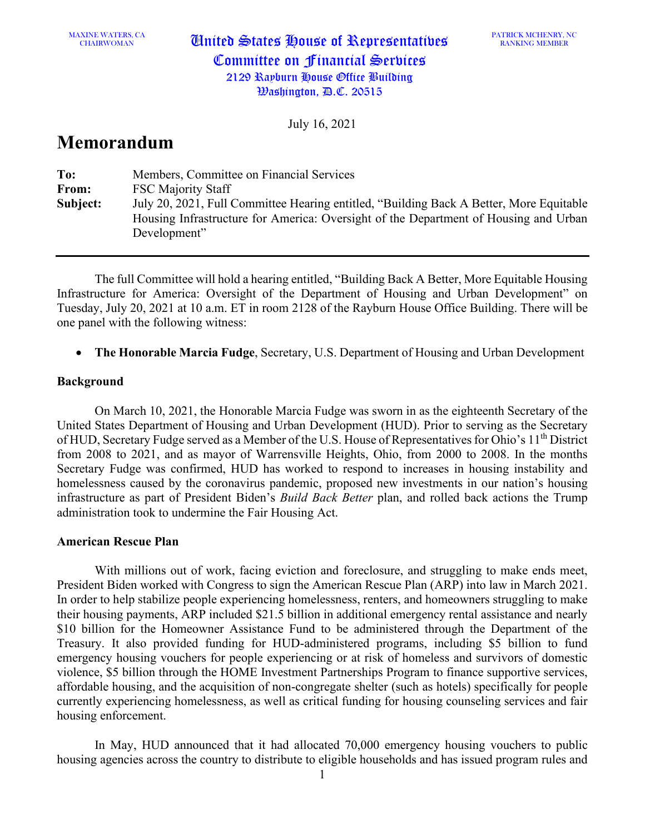MAXINE WATERS, CA

CHAIRWOMAN United States House of Representatives Committee on Financial Services 2129 Rayburn House Office Building Washington, D.C. 20515

July 16, 2021

# **Memorandum**

| To:      | Members, Committee on Financial Services                                                |
|----------|-----------------------------------------------------------------------------------------|
| From:    | <b>FSC Majority Staff</b>                                                               |
| Subject: | July 20, 2021, Full Committee Hearing entitled, "Building Back A Better, More Equitable |
|          | Housing Infrastructure for America: Oversight of the Department of Housing and Urban    |
|          | Development"                                                                            |

The full Committee will hold a hearing entitled, "Building Back A Better, More Equitable Housing Infrastructure for America: Oversight of the Department of Housing and Urban Development" on Tuesday, July 20, 2021 at 10 a.m. ET in room 2128 of the Rayburn House Office Building. There will be one panel with the following witness:

• **The Honorable Marcia Fudge**, Secretary, U.S. Department of Housing and Urban Development

## **Background**

On March 10, 2021, the Honorable Marcia Fudge was sworn in as the eighteenth Secretary of the United States Department of Housing and Urban Development (HUD). Prior to serving as the Secretary of HUD, Secretary Fudge served as a Member of the U.S. House of Representatives for Ohio's 11<sup>th</sup> District from 2008 to 2021, and as mayor of Warrensville Heights, Ohio, from 2000 to 2008. In the months Secretary Fudge was confirmed, HUD has worked to respond to increases in housing instability and homelessness caused by the coronavirus pandemic, proposed new investments in our nation's housing infrastructure as part of President Biden's *Build Back Better* plan, and rolled back actions the Trump administration took to undermine the Fair Housing Act.

## **American Rescue Plan**

With millions out of work, facing eviction and foreclosure, and struggling to make ends meet, President Biden worked with Congress to sign the American Rescue Plan (ARP) into law in March 2021. In order to help stabilize people experiencing homelessness, renters, and homeowners struggling to make their housing payments, ARP included \$21.5 billion in additional emergency rental assistance and nearly \$10 billion for the Homeowner Assistance Fund to be administered through the Department of the Treasury. It also provided funding for HUD-administered programs, including \$5 billion to fund emergency housing vouchers for people experiencing or at risk of homeless and survivors of domestic violence, \$5 billion through the HOME Investment Partnerships Program to finance supportive services, affordable housing, and the acquisition of non-congregate shelter (such as hotels) specifically for people currently experiencing homelessness, as well as critical funding for housing counseling services and fair housing enforcement.

In May, HUD announced that it had allocated 70,000 emergency housing vouchers to public housing agencies across the country to distribute to eligible households and has issued program rules and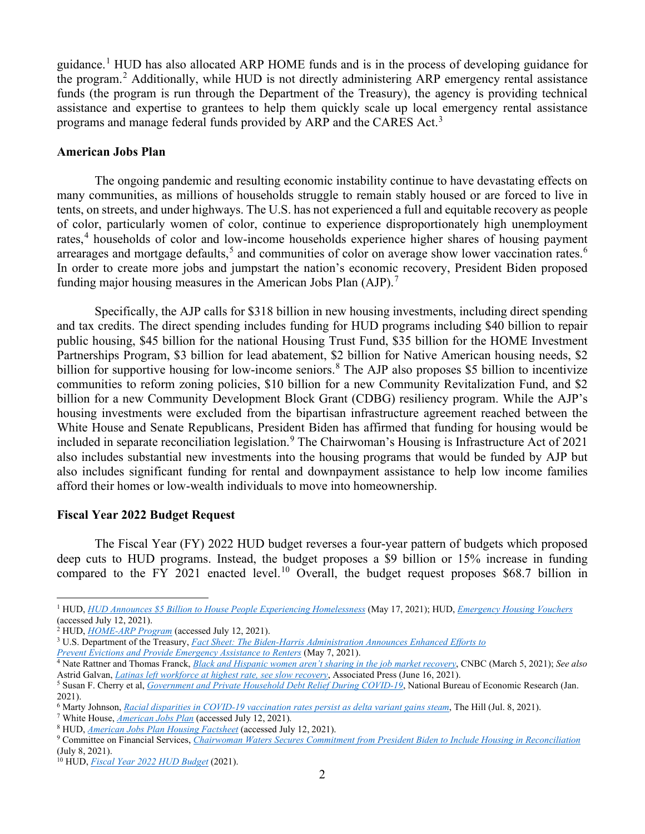guidance.<sup>[1](#page-1-0)</sup> HUD has also allocated ARP HOME funds and is in the process of developing guidance for the program.<sup>[2](#page-1-1)</sup> Additionally, while HUD is not directly administering ARP emergency rental assistance funds (the program is run through the Department of the Treasury), the agency is providing technical assistance and expertise to grantees to help them quickly scale up local emergency rental assistance programs and manage federal funds provided by ARP and the CARES Act.<sup>[3](#page-1-2)</sup>

#### **American Jobs Plan**

The ongoing pandemic and resulting economic instability continue to have devastating effects on many communities, as millions of households struggle to remain stably housed or are forced to live in tents, on streets, and under highways. The U.S. has not experienced a full and equitable recovery as people of color, particularly women of color, continue to experience disproportionately high unemployment rates,<sup>[4](#page-1-3)</sup> households of color and low-income households experience higher shares of housing payment arrearages and mortgage defaults,<sup>[5](#page-1-4)</sup> and communities of color on average show lower vaccination rates.<sup>[6](#page-1-5)</sup> In order to create more jobs and jumpstart the nation's economic recovery, President Biden proposed funding major housing measures in the American Jobs Plan  $(AJP)$ .

Specifically, the AJP calls for \$318 billion in new housing investments, including direct spending and tax credits. The direct spending includes funding for HUD programs including \$40 billion to repair public housing, \$45 billion for the national Housing Trust Fund, \$35 billion for the HOME Investment Partnerships Program, \$3 billion for lead abatement, \$2 billion for Native American housing needs, \$2 billion for supportive housing for low-income seniors.<sup>[8](#page-1-7)</sup> The AJP also proposes \$5 billion to incentivize communities to reform zoning policies, \$10 billion for a new Community Revitalization Fund, and \$2 billion for a new Community Development Block Grant (CDBG) resiliency program. While the AJP's housing investments were excluded from the bipartisan infrastructure agreement reached between the White House and Senate Republicans, President Biden has affirmed that funding for housing would be included in separate reconciliation legislation. [9](#page-1-8) The Chairwoman's Housing is Infrastructure Act of 2021 also includes substantial new investments into the housing programs that would be funded by AJP but also includes significant funding for rental and downpayment assistance to help low income families afford their homes or low-wealth individuals to move into homeownership.

#### **Fiscal Year 2022 Budget Request**

The Fiscal Year (FY) 2022 HUD budget reverses a four-year pattern of budgets which proposed deep cuts to HUD programs. Instead, the budget proposes a \$9 billion or 15% increase in funding compared to the FY 2021 enacted level.<sup>[10](#page-1-9)</sup> Overall, the budget request proposes \$68.7 billion in

<span id="page-1-0"></span><sup>1</sup> HUD, *[HUD Announces \\$5 Billion to House People Experiencing Homelessness](https://www.hud.gov/press/press_releases_media_advisories/HUD_No_21_087)* (May 17, 2021); HUD, *[Emergency Housing Vouchers](https://www.hud.gov/ehv)*

<span id="page-1-2"></span><span id="page-1-1"></span><sup>&</sup>lt;sup>2</sup> HUD, *HOME-ARP Program* [\(](https://www.hudexchange.info/programs/home-arp/)accessed July 12, 2021). <sup>3</sup> U.S. Department of the Treasury, *[Fact Sheet: The Biden-Harris Administration Announces Enhanced Efforts to](https://home.treasury.gov/system/files/136/FACT_SHEET-Emergency-Rental-Assistance-Program_May2021.pdf) [Prevent Evictions and Provide Emergency Assistance to Renters](https://home.treasury.gov/system/files/136/FACT_SHEET-Emergency-Rental-Assistance-Program_May2021.pdf)* (May 7, 2021).

<span id="page-1-3"></span><sup>4</sup> Nate Rattner and Thomas Franck, *[Black and Hispanic women aren't sharing in the job market recovery](https://www.cnbc.com/2021/03/05/black-and-hispanic-women-arent-sharing-in-the-job-market-recovery.html)*, CNBC (March 5, 2021); *See also*  Astrid Galvan, *[Latinas left workforce at highest rate, see slow recovery](https://apnews.com/article/coronavirus-pandemic-technology-race-and-ethnicity-health-lifestyle-e21f94341735cc2c59042edcb09fb345)*, Associated Press (June 16, 2021).

<span id="page-1-4"></span><sup>&</sup>lt;sup>5</sup> Susan F. Cherry et al, *[Government and Private Household Debt Relief During COVID-19](https://www.nber.org/system/files/working_papers/w28357/w28357.pdf)*, National Bureau of Economic Research (Jan. 2021).

<span id="page-1-5"></span><sup>6</sup> Marty Johnson, *[Racial disparities in COVID-19 vaccination rates persist as delta variant gains steam](https://thehill.com/policy/healthcare/562125-racial-disparities-in-covid-19-vaccination-rates-persist-as-delta-variant)*, The Hill (Jul. 8, 2021).

<span id="page-1-6"></span>

<span id="page-1-8"></span><span id="page-1-7"></span><sup>&</sup>lt;sup>8</sup> HUD, <u>American Jobs Plan Housing Factsheet</u> (accessed July 12, 2021).<br><sup>9</sup> Committee on Financial Services, [Chairwoman Waters Secures Commitment from President Biden to Include Housing in Reconciliation](https://financialservices.house.gov/news/documentsingle.aspx?DocumentID=408124) (July 8, 2021).

<span id="page-1-9"></span><sup>10</sup> HUD, *[Fiscal Year 2022 HUD Budget](https://www.hud.gov/budget)* (2021).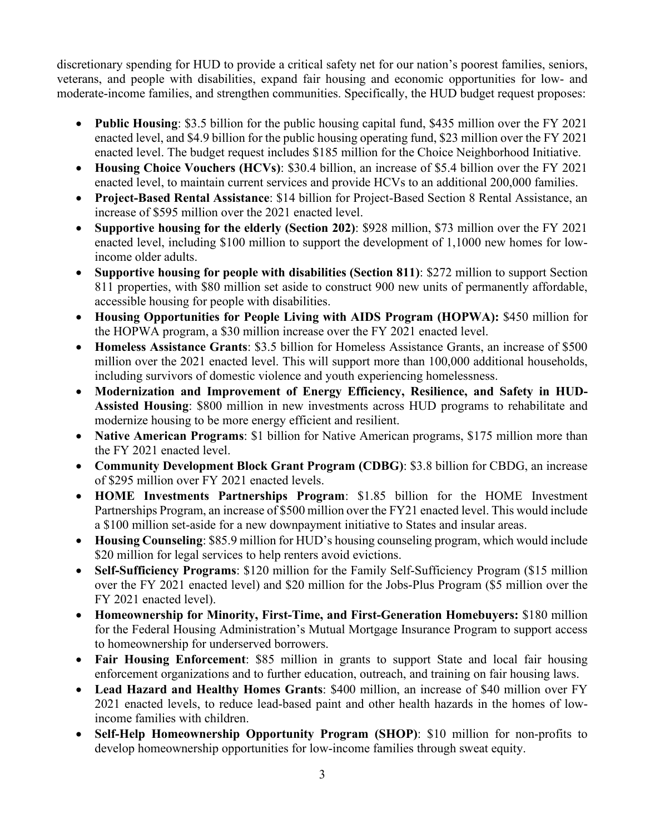discretionary spending for HUD to provide a critical safety net for our nation's poorest families, seniors, veterans, and people with disabilities, expand fair housing and economic opportunities for low- and moderate-income families, and strengthen communities. Specifically, the HUD budget request proposes:

- **Public Housing**: \$3.5 billion for the public housing capital fund, \$435 million over the FY 2021 enacted level, and \$4.9 billion for the public housing operating fund, \$23 million over the FY 2021 enacted level. The budget request includes \$185 million for the Choice Neighborhood Initiative.
- **Housing Choice Vouchers (HCVs)**: \$30.4 billion, an increase of \$5.4 billion over the FY 2021 enacted level, to maintain current services and provide HCVs to an additional 200,000 families.
- **Project-Based Rental Assistance**: \$14 billion for Project-Based Section 8 Rental Assistance, an increase of \$595 million over the 2021 enacted level.
- **Supportive housing for the elderly (Section 202)**: \$928 million, \$73 million over the FY 2021 enacted level, including \$100 million to support the development of 1,1000 new homes for lowincome older adults.
- **Supportive housing for people with disabilities (Section 811)**: \$272 million to support Section 811 properties, with \$80 million set aside to construct 900 new units of permanently affordable, accessible housing for people with disabilities.
- **Housing Opportunities for People Living with AIDS Program (HOPWA):** \$450 million for the HOPWA program, a \$30 million increase over the FY 2021 enacted level.
- **Homeless Assistance Grants**: \$3.5 billion for Homeless Assistance Grants, an increase of \$500 million over the 2021 enacted level. This will support more than 100,000 additional households, including survivors of domestic violence and youth experiencing homelessness.
- **Modernization and Improvement of Energy Efficiency, Resilience, and Safety in HUD-Assisted Housing**: \$800 million in new investments across HUD programs to rehabilitate and modernize housing to be more energy efficient and resilient.
- **Native American Programs**: \$1 billion for Native American programs, \$175 million more than the FY 2021 enacted level.
- **Community Development Block Grant Program (CDBG)**: \$3.8 billion for CBDG, an increase of \$295 million over FY 2021 enacted levels.
- **HOME Investments Partnerships Program**: \$1.85 billion for the HOME Investment Partnerships Program, an increase of \$500 million over the FY21 enacted level. This would include a \$100 million set-aside for a new downpayment initiative to States and insular areas.
- **Housing Counseling**: \$85.9 million for HUD's housing counseling program, which would include \$20 million for legal services to help renters avoid evictions.
- **Self-Sufficiency Programs**: \$120 million for the Family Self-Sufficiency Program (\$15 million over the FY 2021 enacted level) and \$20 million for the Jobs-Plus Program (\$5 million over the FY 2021 enacted level).
- **Homeownership for Minority, First-Time, and First-Generation Homebuyers:** \$180 million for the Federal Housing Administration's Mutual Mortgage Insurance Program to support access to homeownership for underserved borrowers.
- **Fair Housing Enforcement**: \$85 million in grants to support State and local fair housing enforcement organizations and to further education, outreach, and training on fair housing laws.
- **Lead Hazard and Healthy Homes Grants**: \$400 million, an increase of \$40 million over FY 2021 enacted levels, to reduce lead-based paint and other health hazards in the homes of lowincome families with children.
- **Self-Help Homeownership Opportunity Program (SHOP)**: \$10 million for non-profits to develop homeownership opportunities for low-income families through sweat equity.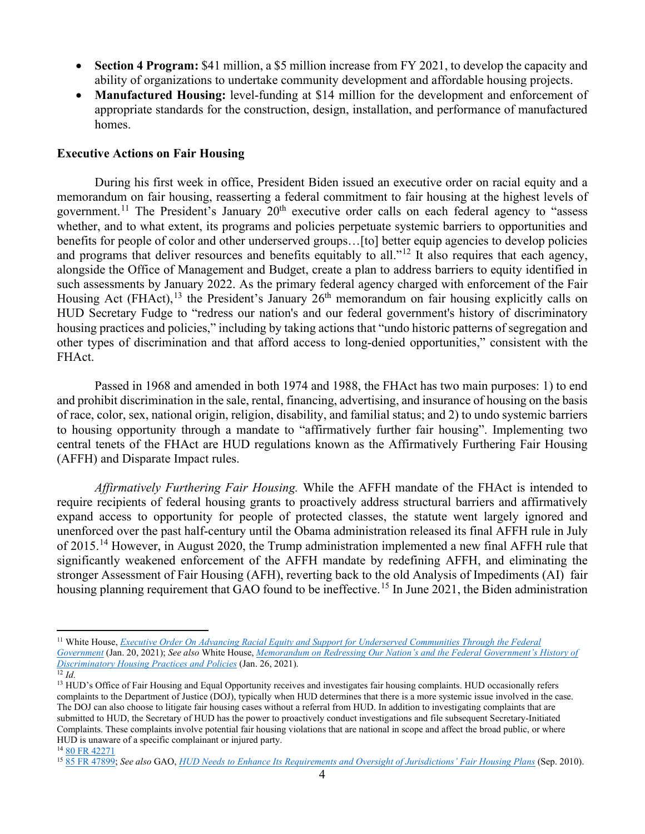- **Section 4 Program:** \$41 million, a \$5 million increase from FY 2021, to develop the capacity and ability of organizations to undertake community development and affordable housing projects.
- **Manufactured Housing:** level-funding at \$14 million for the development and enforcement of appropriate standards for the construction, design, installation, and performance of manufactured homes.

#### **Executive Actions on Fair Housing**

During his first week in office, President Biden issued an executive order on racial equity and a memorandum on fair housing, reasserting a federal commitment to fair housing at the highest levels of government.<sup>[11](#page-3-0)</sup> The President's January  $20<sup>th</sup>$  executive order calls on each federal agency to "assess whether, and to what extent, its programs and policies perpetuate systemic barriers to opportunities and benefits for people of color and other underserved groups…[to] better equip agencies to develop policies and programs that deliver resources and benefits equitably to all."<sup>[12](#page-3-1)</sup> It also requires that each agency, alongside the Office of Management and Budget, create a plan to address barriers to equity identified in such assessments by January 2022. As the primary federal agency charged with enforcement of the Fair Housing Act (FHAct), <sup>[13](#page-3-2)</sup> the President's January 26<sup>th</sup> memorandum on fair housing explicitly calls on HUD Secretary Fudge to "redress our nation's and our federal government's history of discriminatory housing practices and policies," including by taking actions that "undo historic patterns of segregation and other types of discrimination and that afford access to long-denied opportunities," consistent with the FHAct.

Passed in 1968 and amended in both 1974 and 1988, the FHAct has two main purposes: 1) to end and prohibit discrimination in the sale, rental, financing, advertising, and insurance of housing on the basis of race, color, sex, national origin, religion, disability, and familial status; and 2) to undo systemic barriers to housing opportunity through a mandate to "affirmatively further fair housing". Implementing two central tenets of the FHAct are HUD regulations known as the Affirmatively Furthering Fair Housing (AFFH) and Disparate Impact rules.

*Affirmatively Furthering Fair Housing.* While the AFFH mandate of the FHAct is intended to require recipients of federal housing grants to proactively address structural barriers and affirmatively expand access to opportunity for people of protected classes, the statute went largely ignored and unenforced over the past half-century until the Obama administration released its final AFFH rule in July of 2015.<sup>[14](#page-3-3)</sup> However, in August 2020, the Trump administration implemented a new final AFFH rule that significantly weakened enforcement of the AFFH mandate by redefining AFFH, and eliminating the stronger Assessment of Fair Housing (AFH), reverting back to the old Analysis of Impediments (AI) fair housing planning requirement that GAO found to be ineffective.<sup>[15](#page-3-4)</sup> In June 2021, the Biden administration

<span id="page-3-0"></span><sup>11</sup> White House, *[Executive Order On Advancing Racial Equity and Support for Underserved Communities Through the Federal](https://www.whitehouse.gov/briefing-room/presidential-actions/2021/01/20/executive-order-advancing-racial-equity-and-support-for-underserved-communities-through-the-federal-government/)  [Government](https://www.whitehouse.gov/briefing-room/presidential-actions/2021/01/20/executive-order-advancing-racial-equity-and-support-for-underserved-communities-through-the-federal-government/)* (Jan. 20, 2021); *See also* White House, *[Memorandum on Redressing Our Nation's and the Federal Government's History of](https://www.whitehouse.gov/briefing-room/presidential-actions/2021/01/26/memorandum-on-redressing-our-nations-and-the-federal-governments-history-of-discriminatory-housing-practices-and-policies/)  [Discriminatory Housing Practices and Policies](https://www.whitehouse.gov/briefing-room/presidential-actions/2021/01/26/memorandum-on-redressing-our-nations-and-the-federal-governments-history-of-discriminatory-housing-practices-and-policies/)* (Jan. 26, 2021).

<span id="page-3-2"></span><span id="page-3-1"></span> $\overline{^{12}Id}$ .

<sup>&</sup>lt;sup>13</sup> HUD's Office of Fair Housing and Equal Opportunity receives and investigates fair housing complaints. HUD occasionally refers complaints to the Department of Justice (DOJ), typically when HUD determines that there is a more systemic issue involved in the case. The DOJ can also choose to litigate fair housing cases without a referral from HUD. In addition to investigating complaints that are submitted to HUD, the Secretary of HUD has the power to proactively conduct investigations and file subsequent Secretary-Initiated Complaints. These complaints involve potential fair housing violations that are national in scope and affect the broad public, or where HUD is unaware of a specific complainant or injured party.

<span id="page-3-3"></span><sup>14</sup> [80 FR 42271](https://www.federalregister.gov/documents/2015/07/16/2015-17032/affirmatively-furthering-fair-housing)

<span id="page-3-4"></span><sup>15</sup> [85 FR 47899;](https://www.federalregister.gov/documents/2020/08/07/2020-16320/preserving-community-and-neighborhood-choice) *See also* GAO, *[HUD Needs to Enhance Its Requirements and Oversight of Jurisdictions' Fair Housing Plans](https://www.gao.gov/assets/gao-10-905.pdf)* (Sep. 2010).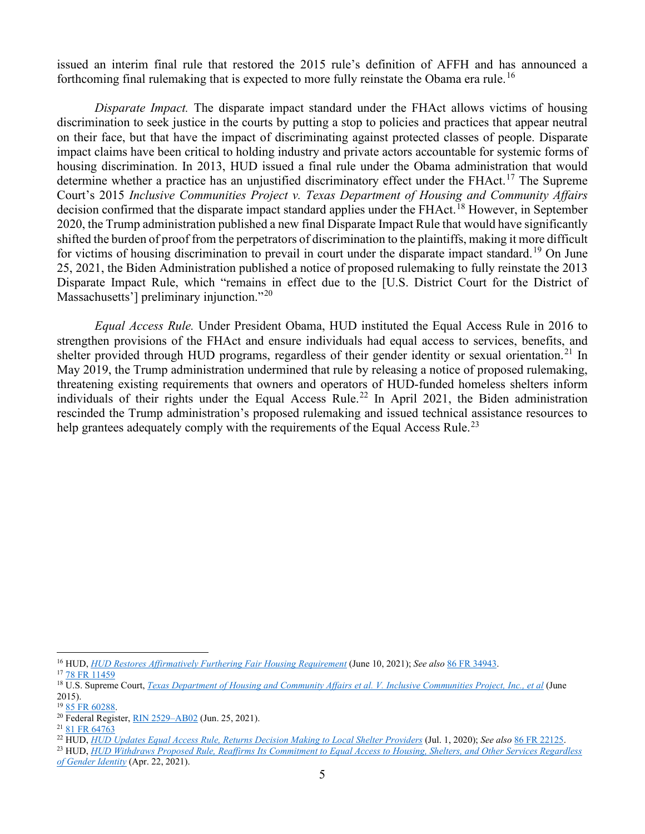issued an interim final rule that restored the 2015 rule's definition of AFFH and has announced a forthcoming final rulemaking that is expected to more fully reinstate the Obama era rule.<sup>[16](#page-4-0)</sup>

*Disparate Impact.* The disparate impact standard under the FHAct allows victims of housing discrimination to seek justice in the courts by putting a stop to policies and practices that appear neutral on their face, but that have the impact of discriminating against protected classes of people. Disparate impact claims have been critical to holding industry and private actors accountable for systemic forms of housing discrimination. In 2013, HUD issued a final rule under the Obama administration that would determine whether a practice has an unjustified discriminatory effect under the FHAct.<sup>[17](#page-4-1)</sup> The Supreme Court's 2015 *Inclusive Communities Project v. Texas Department of Housing and Community Affairs* decision confirmed that the disparate impact standard applies under the FHAct.<sup>[18](#page-4-2)</sup> However, in September 2020, the Trump administration published a new final Disparate Impact Rule that would have significantly shifted the burden of proof from the perpetrators of discrimination to the plaintiffs, making it more difficult for victims of housing discrimination to prevail in court under the disparate impact standard.<sup>[19](#page-4-3)</sup> On June 25, 2021, the Biden Administration published a notice of proposed rulemaking to fully reinstate the 2013 Disparate Impact Rule, which "remains in effect due to the [U.S. District Court for the District of Massachusetts'] preliminary injunction."<sup>[20](#page-4-4)</sup>

*Equal Access Rule.* Under President Obama, HUD instituted the Equal Access Rule in 2016 to strengthen provisions of the FHAct and ensure individuals had equal access to services, benefits, and shelter provided through HUD programs, regardless of their gender identity or sexual orientation.<sup>[21](#page-4-5)</sup> In May 2019, the Trump administration undermined that rule by releasing a notice of proposed rulemaking, threatening existing requirements that owners and operators of HUD-funded homeless shelters inform individuals of their rights under the Equal Access Rule.<sup>[22](#page-4-6)</sup> In April 2021, the Biden administration rescinded the Trump administration's proposed rulemaking and issued technical assistance resources to help grantees adequately comply with the requirements of the Equal Access Rule.<sup>[23](#page-4-7)</sup>

<span id="page-4-0"></span><sup>16</sup> HUD, *HUD [Restores Affirmatively Furthering Fair Housing Requirement](https://www.hud.gov/press/press_releases_media_advisories/HUD_No_21_098)* (June 10, 2021); *See also* [86 FR 34943.](https://www.federalregister.gov/documents/2021/07/01/2021-14011/restoring-affirmatively-furthering-fair-housing-definitions-and-certifications)

<span id="page-4-1"></span><sup>&</sup>lt;sup>17</sup> [78 FR 11459](https://www.federalregister.gov/documents/2013/02/15/2013-03375/implementation-of-the-fair-housing-acts-discriminatory-effects-standard)

<span id="page-4-2"></span><sup>18</sup> U.S. Supreme Court, *[Texas Department of Housing and Community Affairs et al. V. Inclusive Communities Project, Inc., et al](https://www.supremecourt.gov/opinions/14pdf/13-1371_8m58.pdf)* (June 2015).

<span id="page-4-3"></span><sup>19</sup> [85 FR 60288.](https://www.federalregister.gov/documents/2020/09/24/2020-19887/huds-implementation-of-the-fair-housing-acts-disparate-impact-standard)

<span id="page-4-4"></span><sup>20</sup> Federal Register, [RIN 2529–AB02](https://www.govinfo.gov/content/pkg/FR-2021-06-25/pdf/2021-13240.pdf) (Jun. 25, 2021).

<span id="page-4-5"></span><sup>21</sup> [81 FR 64763](https://www.federalregister.gov/documents/2016/09/21/2016-22589/equal-access-in-accordance-with-an-individuals-gender-identity-in-community-planning-and-development)

<span id="page-4-6"></span><sup>22</sup> HUD, *[HUD Updates Equal Access Rule, Returns Decision Making to Local Shelter Providers](https://www.hud.gov/press/press_releases_media_advisories/HUD_No_20_099)* (Jul. 1, 2020); *See also* [86 FR 22125.](https://www.federalregister.gov/documents/2021/04/27/2021-08513/making-admission-or-placement-determinations-based-on-sex-in-facilities-under-community-planning-and)

<span id="page-4-7"></span><sup>23</sup> HUD, *[HUD Withdraws Proposed Rule, Reaffirms Its Commitment to Equal Access to Housing, Shelters, and Other Services Regardless](https://www.hud.gov/press/press_releases_media_advisories/HUD_No_21_069)  [of Gender Identity](https://www.hud.gov/press/press_releases_media_advisories/HUD_No_21_069)* (Apr. 22, 2021).